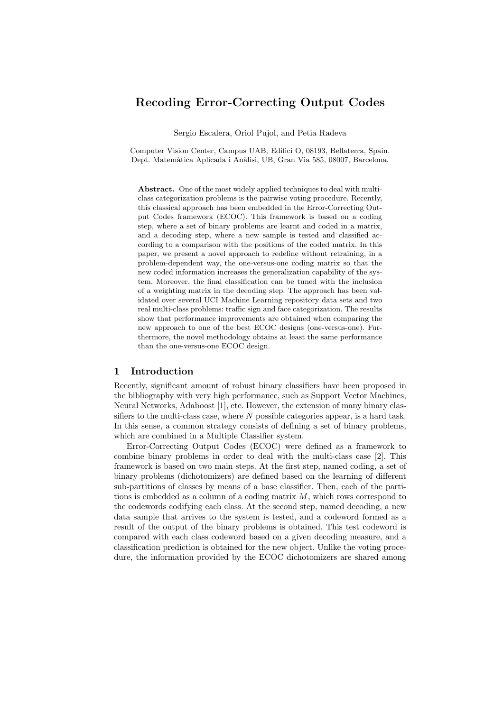# Recoding Error-Correcting Output Codes

Sergio Escalera, Oriol Pujol, and Petia Radeva

Computer Vision Center, Campus UAB, Edifici O, 08193, Bellaterra, Spain. Dept. Matemàtica Aplicada i Anàlisi, UB, Gran Via 585, 08007, Barcelona.

Abstract. One of the most widely applied techniques to deal with multiclass categorization problems is the pairwise voting procedure. Recently, this classical approach has been embedded in the Error-Correcting Output Codes framework (ECOC). This framework is based on a coding step, where a set of binary problems are learnt and coded in a matrix, and a decoding step, where a new sample is tested and classified according to a comparison with the positions of the coded matrix. In this paper, we present a novel approach to redefine without retraining, in a problem-dependent way, the one-versus-one coding matrix so that the new coded information increases the generalization capability of the system. Moreover, the final classification can be tuned with the inclusion of a weighting matrix in the decoding step. The approach has been validated over several UCI Machine Learning repository data sets and two real multi-class problems: traffic sign and face categorization. The results show that performance improvements are obtained when comparing the new approach to one of the best ECOC designs (one-versus-one). Furthermore, the novel methodology obtains at least the same performance than the one-versus-one ECOC design.

#### 1 Introduction

Recently, significant amount of robust binary classifiers have been proposed in the bibliography with very high performance, such as Support Vector Machines, Neural Networks, Adaboost [1], etc. However, the extension of many binary classifiers to the multi-class case, where  $N$  possible categories appear, is a hard task. In this sense, a common strategy consists of defining a set of binary problems, which are combined in a Multiple Classifier system.

Error-Correcting Output Codes (ECOC) were defined as a framework to combine binary problems in order to deal with the multi-class case [2]. This framework is based on two main steps. At the first step, named coding, a set of binary problems (dichotomizers) are defined based on the learning of different sub-partitions of classes by means of a base classifier. Then, each of the partitions is embedded as a column of a coding matrix  $M$ , which rows correspond to the codewords codifying each class. At the second step, named decoding, a new data sample that arrives to the system is tested, and a codeword formed as a result of the output of the binary problems is obtained. This test codeword is compared with each class codeword based on a given decoding measure, and a classification prediction is obtained for the new object. Unlike the voting procedure, the information provided by the ECOC dichotomizers are shared among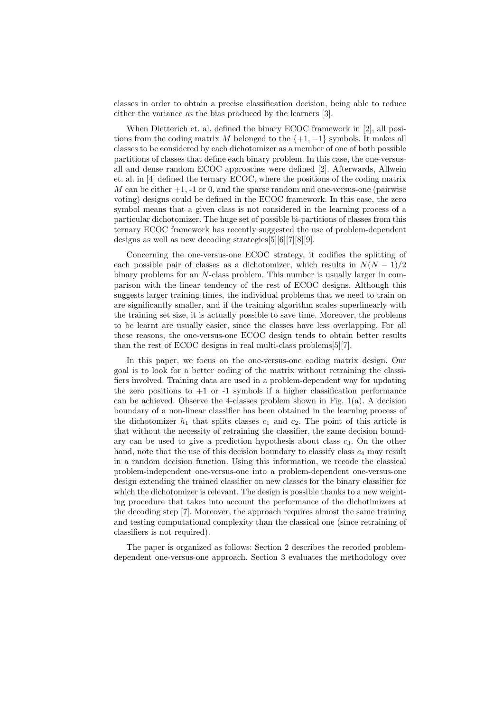classes in order to obtain a precise classification decision, being able to reduce either the variance as the bias produced by the learners [3].

When Dietterich et. al. defined the binary ECOC framework in [2], all positions from the coding matrix M belonged to the  $\{+1, -1\}$  symbols. It makes all classes to be considered by each dichotomizer as a member of one of both possible partitions of classes that define each binary problem. In this case, the one-versusall and dense random ECOC approaches were defined [2]. Afterwards, Allwein et. al. in [4] defined the ternary ECOC, where the positions of the coding matrix M can be either  $+1$ ,  $-1$  or 0, and the sparse random and one-versus-one (pairwise voting) designs could be defined in the ECOC framework. In this case, the zero symbol means that a given class is not considered in the learning process of a particular dichotomizer. The huge set of possible bi-partitions of classes from this ternary ECOC framework has recently suggested the use of problem-dependent designs as well as new decoding strategies[5][6][7][8][9].

Concerning the one-versus-one ECOC strategy, it codifies the splitting of each possible pair of classes as a dichotomizer, which results in  $N(N-1)/2$ binary problems for an N-class problem. This number is usually larger in comparison with the linear tendency of the rest of ECOC designs. Although this suggests larger training times, the individual problems that we need to train on are significantly smaller, and if the training algorithm scales superlinearly with the training set size, it is actually possible to save time. Moreover, the problems to be learnt are usually easier, since the classes have less overlapping. For all these reasons, the one-versus-one ECOC design tends to obtain better results than the rest of ECOC designs in real multi-class problems[5][7].

In this paper, we focus on the one-versus-one coding matrix design. Our goal is to look for a better coding of the matrix without retraining the classifiers involved. Training data are used in a problem-dependent way for updating the zero positions to  $+1$  or  $-1$  symbols if a higher classification performance can be achieved. Observe the 4-classes problem shown in Fig. 1(a). A decision boundary of a non-linear classifier has been obtained in the learning process of the dichotomizer  $h_1$  that splits classes  $c_1$  and  $c_2$ . The point of this article is that without the necessity of retraining the classifier, the same decision boundary can be used to give a prediction hypothesis about class  $c_3$ . On the other hand, note that the use of this decision boundary to classify class  $c_4$  may result in a random decision function. Using this information, we recode the classical problem-independent one-versus-one into a problem-dependent one-versus-one design extending the trained classifier on new classes for the binary classifier for which the dichotomizer is relevant. The design is possible thanks to a new weighting procedure that takes into account the performance of the dichotimizers at the decoding step [7]. Moreover, the approach requires almost the same training and testing computational complexity than the classical one (since retraining of classifiers is not required).

The paper is organized as follows: Section 2 describes the recoded problemdependent one-versus-one approach. Section 3 evaluates the methodology over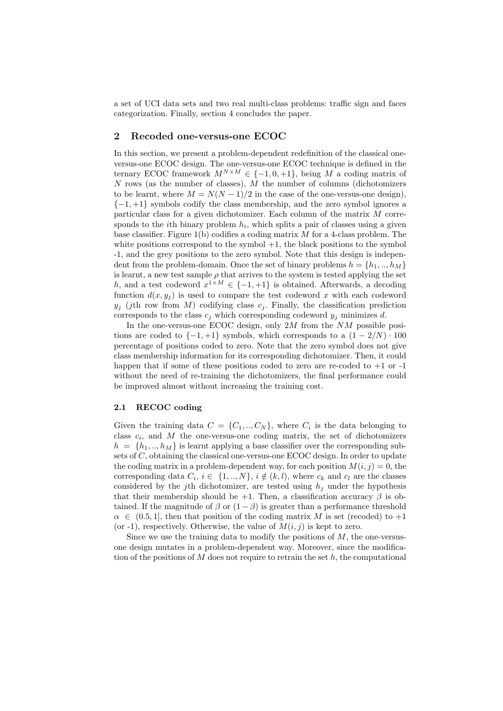a set of UCI data sets and two real multi-class problems: traffic sign and faces categorization. Finally, section 4 concludes the paper.

### 2 Recoded one-versus-one ECOC

In this section, we present a problem-dependent redefinition of the classical oneversus-one ECOC design. The one-versus-one ECOC technique is defined in the ternary ECOC framework  $M^{N \times M} \in \{-1, 0, +1\}$ , being M a coding matrix of N rows (as the number of classes),  $\overline{M}$  the number of columns (dichotomizers to be learnt, where  $M = N(N-1)/2$  in the case of the one-versus-one design),  $\{-1, +1\}$  symbols codify the class membership, and the zero symbol ignores a particular class for a given dichotomizer. Each column of the matrix M corresponds to the *i*th binary problem  $h_i$ , which splits a pair of classes using a given base classifier. Figure  $1(b)$  codifies a coding matrix  $M$  for a 4-class problem. The white positions correspond to the symbol  $+1$ , the black positions to the symbol -1, and the grey positions to the zero symbol. Note that this design is independent from the problem-domain. Once the set of binary problems  $h = \{h_1, ..., h_M\}$ is learnt, a new test sample  $\rho$  that arrives to the system is tested applying the set h, and a test codeword  $x^{1 \times M} \in \{-1, +1\}$  is obtained. Afterwards, a decoding function  $d(x, y_i)$  is used to compare the test codeword x with each codeword  $y_j$  (jth row from M) codifying class  $c_j$ . Finally, the classification prediction corresponds to the class  $c_j$  which corresponding codeword  $y_j$  minimizes d.

In the one-versus-one ECOC design, only  $2M$  from the  $NM$  possible positions are coded to  $\{-1, +1\}$  symbols, which corresponds to a  $(1 - 2/N) \cdot 100$ percentage of positions coded to zero. Note that the zero symbol does not give class membership information for its corresponding dichotomizer. Then, it could happen that if some of these positions coded to zero are re-coded to  $+1$  or  $-1$ without the need of re-training the dichotomizers, the final performance could be improved almost without increasing the training cost.

#### 2.1 RECOC coding

Given the training data  $C = \{C_1, ..., C_N\}$ , where  $C_i$  is the data belonging to class  $c_i$ , and M the one-versus-one coding matrix, the set of dichotomizers  $h = \{h_1, ..., h_M\}$  is learnt applying a base classifier over the corresponding subsets of C, obtaining the classical one-versus-one ECOC design. In order to update the coding matrix in a problem-dependent way, for each position  $M(i, j) = 0$ , the corresponding data  $C_i$ ,  $i \in \{1, ..., N\}$ ,  $i \notin (k, l)$ , where  $c_k$  and  $c_l$  are the classes considered by the *j*th dichotomizer, are tested using  $h_i$  under the hypothesis that their membership should be +1. Then, a classification accuracy  $\beta$  is obtained. If the magnitude of  $\beta$  or  $(1 - \beta)$  is greater than a performance threshold  $\alpha \in (0.5, 1]$ , then that position of the coding matrix M is set (recoded) to  $+1$ (or -1), respectively. Otherwise, the value of  $M(i, j)$  is kept to zero.

Since we use the training data to modify the positions of  $M$ , the one-versusone design mutates in a problem-dependent way. Moreover, since the modification of the positions of M does not require to retrain the set h, the computational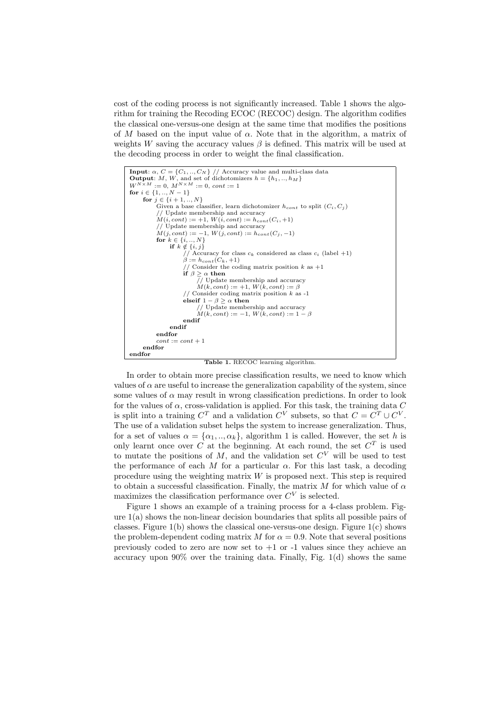cost of the coding process is not significantly increased. Table 1 shows the algorithm for training the Recoding ECOC (RECOC) design. The algorithm codifies the classical one-versus-one design at the same time that modifies the positions of M based on the input value of  $\alpha$ . Note that in the algorithm, a matrix of weights W saving the accuracy values  $\beta$  is defined. This matrix will be used at the decoding process in order to weight the final classification.



Table 1. RECOC learning algorithm.

In order to obtain more precise classification results, we need to know which values of  $\alpha$  are useful to increase the generalization capability of the system, since some values of  $\alpha$  may result in wrong classification predictions. In order to look for the values of  $\alpha$ , cross-validation is applied. For this task, the training data C is split into a training  $C^T$  and a validation  $C^V$  subsets, so that  $C = C^T \cup C^V$ . The use of a validation subset helps the system to increase generalization. Thus, for a set of values  $\alpha = {\alpha_1, ..., \alpha_k}$ , algorithm 1 is called. However, the set h is only learnt once over C at the beginning. At each round, the set  $C<sup>T</sup>$  is used to mutate the positions of M, and the validation set  $C^V$  will be used to test the performance of each M for a particular  $\alpha$ . For this last task, a decoding procedure using the weighting matrix  $W$  is proposed next. This step is required to obtain a successful classification. Finally, the matrix M for which value of  $\alpha$ maximizes the classification performance over  $C^V$  is selected.

Figure 1 shows an example of a training process for a 4-class problem. Figure  $1(a)$  shows the non-linear decision boundaries that splits all possible pairs of classes. Figure  $1(b)$  shows the classical one-versus-one design. Figure  $1(c)$  shows the problem-dependent coding matrix M for  $\alpha = 0.9$ . Note that several positions previously coded to zero are now set to  $+1$  or  $-1$  values since they achieve an accuracy upon  $90\%$  over the training data. Finally, Fig. 1(d) shows the same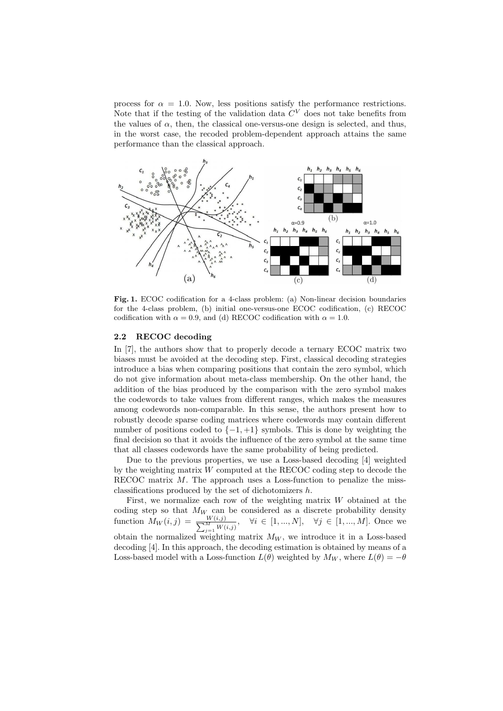process for  $\alpha = 1.0$ . Now, less positions satisfy the performance restrictions. Note that if the testing of the validation data  $C^V$  does not take benefits from the values of  $\alpha$ , then, the classical one-versus-one design is selected, and thus, in the worst case, the recoded problem-dependent approach attains the same performance than the classical approach.



Fig. 1. ECOC codification for a 4-class problem: (a) Non-linear decision boundaries for the 4-class problem, (b) initial one-versus-one ECOC codification, (c) RECOC codification with  $\alpha = 0.9$ , and (d) RECOC codification with  $\alpha = 1.0$ .

#### 2.2 RECOC decoding

In [7], the authors show that to properly decode a ternary ECOC matrix two biases must be avoided at the decoding step. First, classical decoding strategies introduce a bias when comparing positions that contain the zero symbol, which do not give information about meta-class membership. On the other hand, the addition of the bias produced by the comparison with the zero symbol makes the codewords to take values from different ranges, which makes the measures among codewords non-comparable. In this sense, the authors present how to robustly decode sparse coding matrices where codewords may contain different number of positions coded to  $\{-1, +1\}$  symbols. This is done by weighting the final decision so that it avoids the influence of the zero symbol at the same time that all classes codewords have the same probability of being predicted.

Due to the previous properties, we use a Loss-based decoding [4] weighted by the weighting matrix W computed at the RECOC coding step to decode the RECOC matrix  $M$ . The approach uses a Loss-function to penalize the missclassifications produced by the set of dichotomizers h.

First, we normalize each row of the weighting matrix  $W$  obtained at the coding step so that  $M_W$  can be considered as a discrete probability density function  $M_W(i, j) = \frac{W(i, j)}{\sum_{j=1}^{M} W(i, j)}$ ,  $\forall i \in [1, ..., N], \forall j \in [1, ..., M].$  Once we obtain the normalized weighting matrix  $M_W$ , we introduce it in a Loss-based decoding [4]. In this approach, the decoding estimation is obtained by means of a Loss-based model with a Loss-function  $L(\theta)$  weighted by  $M_W$ , where  $L(\theta) = -\theta$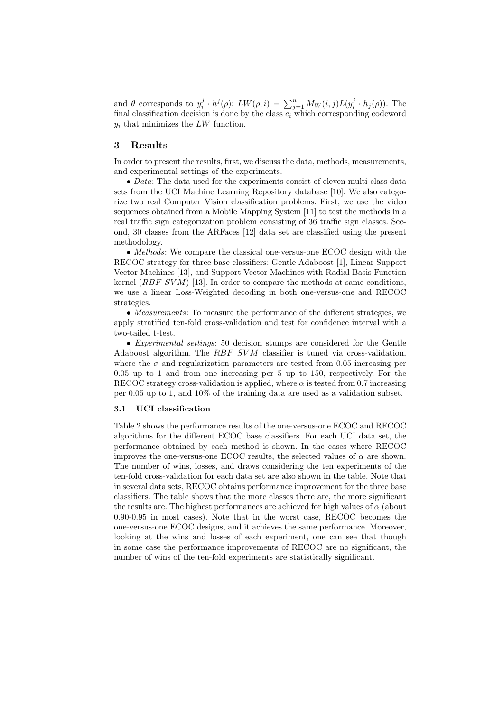and  $\theta$  corresponds to  $y_i^j \cdot h^j(\rho)$ :  $LW(\rho, i) = \sum_{j=1}^n M_W(i,j)L(y_i^j \cdot h_j(\rho))$ . The final classification decision is done by the class  $c_i$  which corresponding codeword  $y_i$  that minimizes the  $LW$  function.

# 3 Results

In order to present the results, first, we discuss the data, methods, measurements, and experimental settings of the experiments.

• Data: The data used for the experiments consist of eleven multi-class data sets from the UCI Machine Learning Repository database [10]. We also categorize two real Computer Vision classification problems. First, we use the video sequences obtained from a Mobile Mapping System [11] to test the methods in a real traffic sign categorization problem consisting of 36 traffic sign classes. Second, 30 classes from the ARFaces [12] data set are classified using the present methodology.

• Methods: We compare the classical one-versus-one ECOC design with the RECOC strategy for three base classifiers: Gentle Adaboost [1], Linear Support Vector Machines [13], and Support Vector Machines with Radial Basis Function kernel  $(RBF\;SVM)$  [13]. In order to compare the methods at same conditions, we use a linear Loss-Weighted decoding in both one-versus-one and RECOC strategies.

• Measurements: To measure the performance of the different strategies, we apply stratified ten-fold cross-validation and test for confidence interval with a two-tailed t-test.

• Experimental settings: 50 decision stumps are considered for the Gentle Adaboost algorithm. The RBF  $SVM$  classifier is tuned via cross-validation, where the  $\sigma$  and regularization parameters are tested from 0.05 increasing per 0.05 up to 1 and from one increasing per 5 up to 150, respectively. For the RECOC strategy cross-validation is applied, where  $\alpha$  is tested from 0.7 increasing per 0.05 up to 1, and 10% of the training data are used as a validation subset.

#### 3.1 UCI classification

Table 2 shows the performance results of the one-versus-one ECOC and RECOC algorithms for the different ECOC base classifiers. For each UCI data set, the performance obtained by each method is shown. In the cases where RECOC improves the one-versus-one ECOC results, the selected values of  $\alpha$  are shown. The number of wins, losses, and draws considering the ten experiments of the ten-fold cross-validation for each data set are also shown in the table. Note that in several data sets, RECOC obtains performance improvement for the three base classifiers. The table shows that the more classes there are, the more significant the results are. The highest performances are achieved for high values of  $\alpha$  (about 0.90-0.95 in most cases). Note that in the worst case, RECOC becomes the one-versus-one ECOC designs, and it achieves the same performance. Moreover, looking at the wins and losses of each experiment, one can see that though in some case the performance improvements of RECOC are no significant, the number of wins of the ten-fold experiments are statistically significant.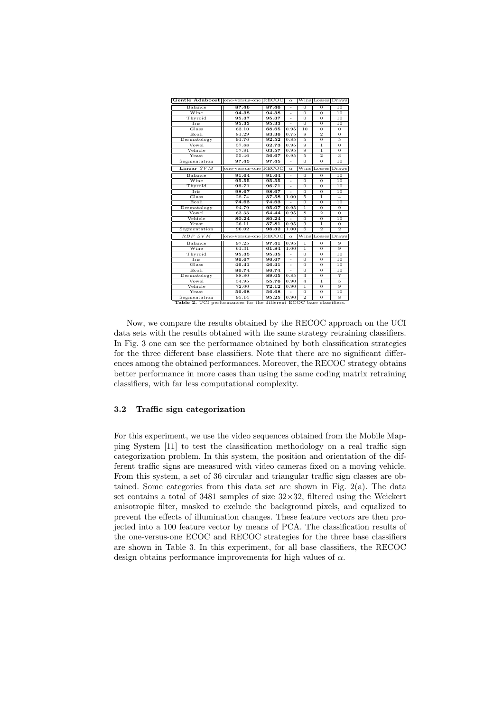| Gentle Adaboost one-versus-one RECOC                               |                      |       | $\alpha$       |                         | Wins Losses Draws |                         |
|--------------------------------------------------------------------|----------------------|-------|----------------|-------------------------|-------------------|-------------------------|
| Balance                                                            | 87.46                | 87.46 | L,             | $\overline{0}$          | $\overline{0}$    | 10                      |
| Wine                                                               | 94.38                | 94.38 |                | $\overline{0}$          | $\overline{0}$    | 10                      |
| Thyroid                                                            | 95.37                | 95.37 |                | $\overline{0}$          | $\overline{0}$    | 10                      |
| Iris                                                               | 95.33                | 95.33 |                | $\overline{0}$          | $\Omega$          | 10                      |
| Glass                                                              | 63.10                | 68.65 | 0.95           | 10                      | $\overline{0}$    | $\overline{0}$          |
| Ecoli                                                              | 81.29                | 83.36 | 0.75           | 8                       | $\overline{2}$    | $\overline{0}$          |
| Dermatology                                                        | 91.76                | 92.52 | 0.85           | $\overline{5}$          | $\overline{0}$    | 5                       |
| Vowel                                                              | 57.88                | 62.73 | 0.95           | $\overline{9}$          | $\overline{1}$    | $\overline{0}$          |
| Vehicle                                                            | 57.81                | 63.57 | 0.95           | 9                       | $\overline{1}$    | $\mathbf{O}$            |
| Yeast                                                              | 55.46                | 56.67 | 0.95           | 5                       | $\overline{2}$    | 3                       |
| Segmentation                                                       | 97.45                | 97.45 | ÷,             | $\overline{0}$          | $\overline{0}$    | 10                      |
| Linear SVM                                                         | one-versus-one RECOC |       | $\alpha$       |                         | Wins Losses Draws |                         |
| Balance                                                            | 91.64                | 91.64 | ÷,             | $\overline{0}$          | $\overline{0}$    | 10                      |
| Wine                                                               | 95.55                | 95.55 | L,             | $\overline{0}$          | $\overline{0}$    | $\overline{10}$         |
| Thyroid                                                            | 96.71                | 96.71 |                | $\overline{0}$          | $\overline{0}$    | 10                      |
| Iris                                                               | 98.67                | 98.67 |                | $\overline{0}$          | $\overline{0}$    | 10                      |
| Glass                                                              | 28.74                | 37.58 | 1.00           | $\overline{5}$          | $\overline{1}$    | $\overline{4}$          |
| Ecoli                                                              | 74.63                | 74.63 | ٠              | $\overline{0}$          | $\overline{0}$    | 10                      |
| Dermatology                                                        | 94.79                | 95.07 | 0.95           | $\overline{1}$          | $\overline{0}$    | $\overline{9}$          |
| Vowel                                                              | 63.33                | 64.44 | 0.95           | $\overline{\mathbf{8}}$ | $\overline{2}$    | $\sigma$                |
| Vehicle                                                            | 80.24                | 80.24 | L              | $\overline{0}$          | $\overline{0}$    | 10                      |
| Yeast                                                              | 26.11                | 37.81 | 0.95           | $\overline{9}$          | $\overline{1}$    | 0                       |
| Segmentation                                                       | 96.02                | 96.32 | 1.00           | $\overline{6}$          | $\overline{2}$    | $\overline{2}$          |
| RBF SVM                                                            | one-versus-one RECOC |       | $\alpha$       | Wins                    | Losses Draws      |                         |
| Balance                                                            | 97.25                | 97.41 | 0.95           | $\overline{1}$          | $\overline{0}$    | $\overline{9}$          |
| Wine                                                               | 61.31                | 61.84 | 1.00           | $\overline{1}$          | $\overline{0}$    | $\overline{9}$          |
| Thyroid                                                            | 95.35                | 95.35 | ä,             | $\overline{0}$          | $\overline{0}$    | $\overline{10}$         |
| Iris                                                               | 96.67                | 96.67 | ä.             | $\overline{0}$          | $\overline{0}$    | 10                      |
| $\overline{\rm Glass}$                                             | 46.41                | 46.41 | $\overline{a}$ | $\overline{0}$          | $\overline{0}$    | $\overline{10}$         |
| Ecoli                                                              | 86.74                | 86.74 | L.             | $\overline{0}$          | $\overline{0}$    | $\overline{10}$         |
| Dermatology                                                        | 88.80                | 89.05 | 0.85           | 3                       | $\overline{0}$    | $\overline{7}$          |
| Vowel                                                              | 54.95                | 55.76 | 0.90           | $\overline{4}$          | $\overline{1}$    | $\overline{5}$          |
| Vehicle                                                            | 72.00                | 72.12 | 0.90           | $\overline{1}$          | $\overline{0}$    | $\overline{9}$          |
| Yeast                                                              | 56.68                | 56.68 |                | $\overline{0}$          | $\overline{0}$    | 10                      |
| Segmentation                                                       | 95.14                | 95.25 | 0.90           | $\overline{2}$          | $\overline{0}$    | $\overline{\mathbf{8}}$ |
| Table 2. UCI performances for the different ECOC base classifiers. |                      |       |                |                         |                   |                         |

Now, we compare the results obtained by the RECOC approach on the UCI data sets with the results obtained with the same strategy retraining classifiers. In Fig. 3 one can see the performance obtained by both classification strategies for the three different base classifiers. Note that there are no significant differences among the obtained performances. Moreover, the RECOC strategy obtains better performance in more cases than using the same coding matrix retraining classifiers, with far less computational complexity.

### 3.2 Traffic sign categorization

For this experiment, we use the video sequences obtained from the Mobile Mapping System [11] to test the classification methodology on a real traffic sign categorization problem. In this system, the position and orientation of the different traffic signs are measured with video cameras fixed on a moving vehicle. From this system, a set of 36 circular and triangular traffic sign classes are obtained. Some categories from this data set are shown in Fig. 2(a). The data set contains a total of 3481 samples of size  $32\times32$ , filtered using the Weickert anisotropic filter, masked to exclude the background pixels, and equalized to prevent the effects of illumination changes. These feature vectors are then projected into a 100 feature vector by means of PCA. The classification results of the one-versus-one ECOC and RECOC strategies for the three base classifiers are shown in Table 3. In this experiment, for all base classifiers, the RECOC design obtains performance improvements for high values of  $\alpha$ .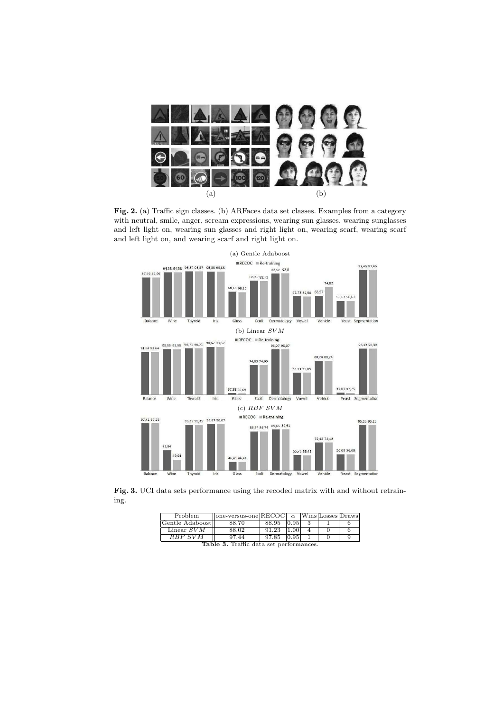

Fig. 2. (a) Traffic sign classes. (b) ARFaces data set classes. Examples from a category with neutral, smile, anger, scream expressions, wearing sun glasses, wearing sunglasses and left light on, wearing sun glasses and right light on, wearing scarf, wearing scarf and left light on, and wearing scarf and right light on.



Fig. 3. UCI data sets performance using the recoded matrix with and without retraining.

| Problem                                 | $\vert$ one-versus-one RECOC $\alpha$ Wins Losses Draws |            |      |  |  |  |
|-----------------------------------------|---------------------------------------------------------|------------|------|--|--|--|
| Gentle Adaboost                         | 88.70                                                   | 88.95 0.95 |      |  |  |  |
| Linear $SVM$                            | 88.02                                                   | 91.23      | 1.00 |  |  |  |
| RBF SVM                                 | 97.44                                                   | 97.85 0.95 |      |  |  |  |
| Table 3. Traffic data set performances. |                                                         |            |      |  |  |  |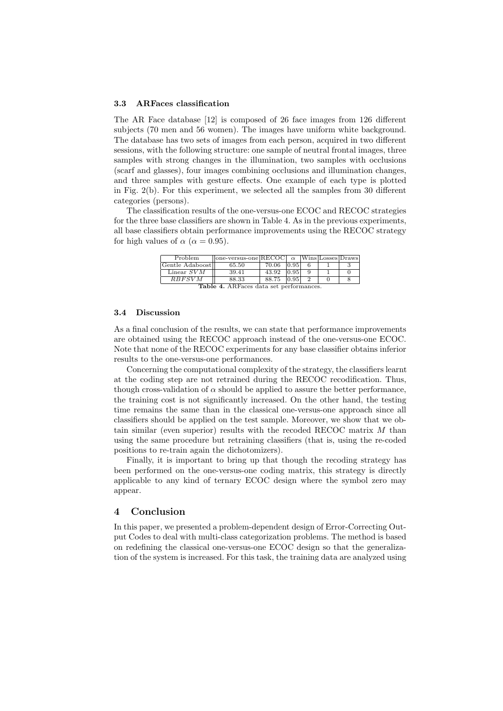#### 3.3 ARFaces classification

The AR Face database [12] is composed of 26 face images from 126 different subjects (70 men and 56 women). The images have uniform white background. The database has two sets of images from each person, acquired in two different sessions, with the following structure: one sample of neutral frontal images, three samples with strong changes in the illumination, two samples with occlusions (scarf and glasses), four images combining occlusions and illumination changes, and three samples with gesture effects. One example of each type is plotted in Fig. 2(b). For this experiment, we selected all the samples from 30 different categories (persons).

The classification results of the one-versus-one ECOC and RECOC strategies for the three base classifiers are shown in Table 4. As in the previous experiments, all base classifiers obtain performance improvements using the RECOC strategy for high values of  $\alpha$  ( $\alpha = 0.95$ ).

| Problem            | $ one-versus-one RECOC $ |       | $\alpha$ |  | Wins Losses Draws |  |
|--------------------|--------------------------|-------|----------|--|-------------------|--|
| Gentle Adaboost    | 65.50                    | 70.06 | 0.95     |  |                   |  |
| Linear $SVM$       | 39.41                    | 43.92 | 0.95.    |  |                   |  |
| <b>RBFSVM</b>      | 88.33                    | 88.75 | 0.95     |  |                   |  |
| $\lambda$<br>— 11. |                          |       |          |  |                   |  |

#### Table 4. ARFaces data set performances.

#### 3.4 Discussion

As a final conclusion of the results, we can state that performance improvements are obtained using the RECOC approach instead of the one-versus-one ECOC. Note that none of the RECOC experiments for any base classifier obtains inferior results to the one-versus-one performances.

Concerning the computational complexity of the strategy, the classifiers learnt at the coding step are not retrained during the RECOC recodification. Thus, though cross-validation of  $\alpha$  should be applied to assure the better performance, the training cost is not significantly increased. On the other hand, the testing time remains the same than in the classical one-versus-one approach since all classifiers should be applied on the test sample. Moreover, we show that we obtain similar (even superior) results with the recoded RECOC matrix M than using the same procedure but retraining classifiers (that is, using the re-coded positions to re-train again the dichotomizers).

Finally, it is important to bring up that though the recoding strategy has been performed on the one-versus-one coding matrix, this strategy is directly applicable to any kind of ternary ECOC design where the symbol zero may appear.

### 4 Conclusion

In this paper, we presented a problem-dependent design of Error-Correcting Output Codes to deal with multi-class categorization problems. The method is based on redefining the classical one-versus-one ECOC design so that the generalization of the system is increased. For this task, the training data are analyzed using